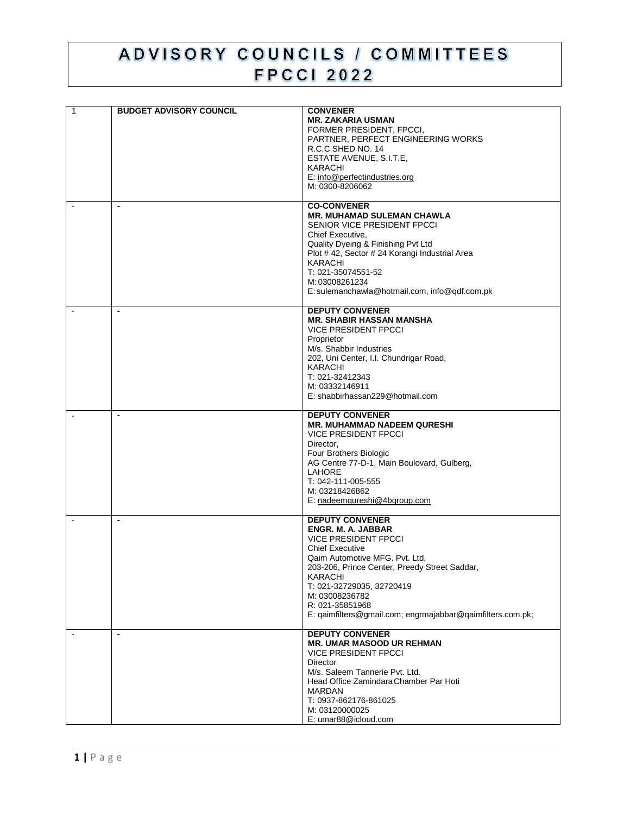## ADVISORY COUNCILS / COMMITTEES **FPCCI 2022**

| $\overline{1}$ | <b>BUDGET ADVISORY COUNCIL</b> | <b>CONVENER</b><br><b>MR. ZAKARIA USMAN</b><br>FORMER PRESIDENT, FPCCI,<br>PARTNER, PERFECT ENGINEERING WORKS<br>R.C.C SHED NO. 14<br>ESTATE AVENUE, S.I.T.E,<br>KARACHI<br>E: info@perfectindustries.org<br>M: 0300-8206062                                                                                                                      |
|----------------|--------------------------------|---------------------------------------------------------------------------------------------------------------------------------------------------------------------------------------------------------------------------------------------------------------------------------------------------------------------------------------------------|
|                |                                | <b>CO-CONVENER</b><br><b>MR. MUHAMAD SULEMAN CHAWLA</b><br>SENIOR VICE PRESIDENT FPCCI<br>Chief Executive,<br>Quality Dyeing & Finishing Pvt Ltd<br>Plot #42, Sector #24 Korangi Industrial Area<br>KARACHI<br>T: 021-35074551-52<br>M: 03008261234<br>E: sulemanchawla@hotmail.com, info@qdf.com.pk                                              |
|                |                                | <b>DEPUTY CONVENER</b><br><b>MR. SHABIR HASSAN MANSHA</b><br><b>VICE PRESIDENT FPCCI</b><br>Proprietor<br>M/s. Shabbir Industries<br>202, Uni Center, I.I. Chundrigar Road,<br>KARACHI<br>T: 021-32412343<br>M: 03332146911<br>E: shabbirhassan229@hotmail.com                                                                                    |
|                |                                | <b>DEPUTY CONVENER</b><br><b>MR. MUHAMMAD NADEEM QURESHI</b><br><b>VICE PRESIDENT FPCCI</b><br>Director,<br>Four Brothers Biologic<br>AG Centre 77-D-1, Main Boulovard, Gulberg,<br>LAHORE<br>T: 042-111-005-555<br>M: 03218426862<br>E: nadeemqureshi@4bgroup.com                                                                                |
|                | $\blacksquare$                 | <b>DEPUTY CONVENER</b><br><b>ENGR. M. A. JABBAR</b><br><b>VICE PRESIDENT FPCCI</b><br><b>Chief Executive</b><br>Qaim Automotive MFG. Pvt. Ltd,<br>203-206, Prince Center, Preedy Street Saddar,<br><b>KARACHI</b><br>T: 021-32729035, 32720419<br>M: 03008236782<br>R: 021-35851968<br>E: qaimfilters@gmail.com; engrmajabbar@qaimfilters.com.pk; |
|                | $\blacksquare$                 | <b>DEPUTY CONVENER</b><br>MR. UMAR MASOOD UR REHMAN<br><b>VICE PRESIDENT FPCCI</b><br><b>Director</b><br>M/s. Saleem Tannerie Pvt. Ltd.<br>Head Office Zamindara Chamber Par Hoti<br><b>MARDAN</b><br>T: 0937-862176-861025<br>M: 03120000025<br>E: umar88@icloud.com                                                                             |